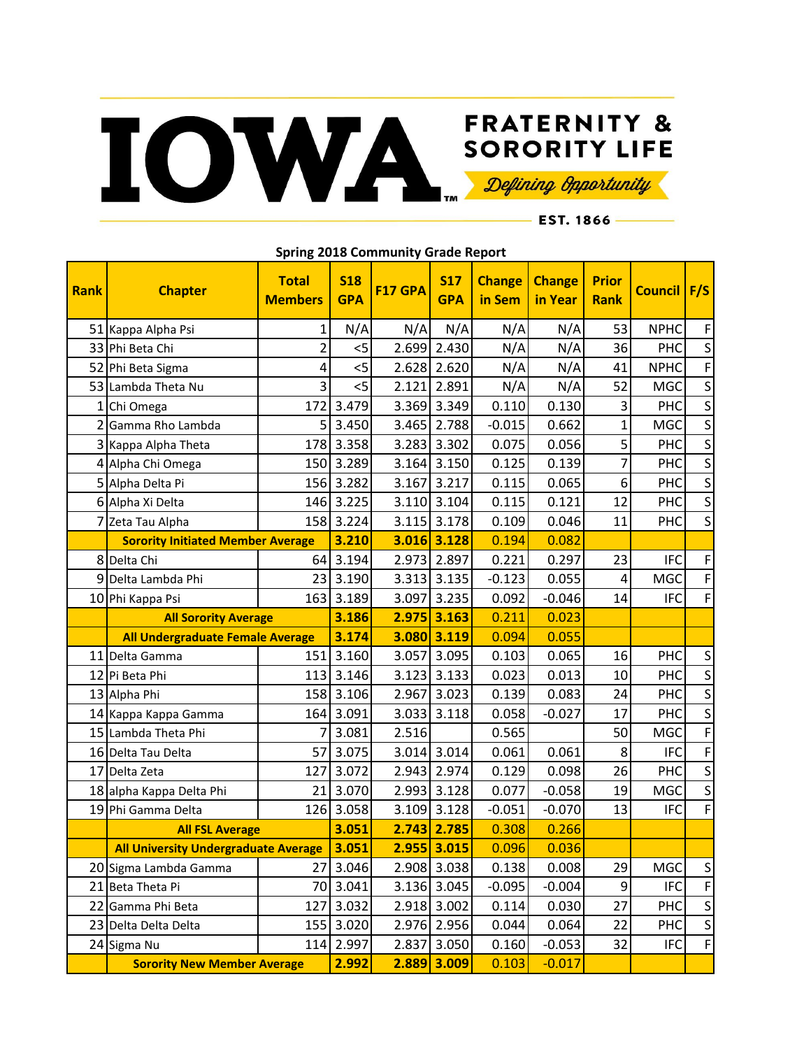## FRATERNITY & SORORITY LIFE

EST. 1866 -

| Rank            | <b>Chapter</b>                               | <b>Total</b><br><b>Members</b> | <b>S18</b><br><b>GPA</b> | F17 GPA | <b>S17</b><br><b>GPA</b> | <b>Change</b><br>in Sem | <b>Change</b><br>in Year | <b>Prior</b><br><b>Rank</b> | Council   F/S |                         |
|-----------------|----------------------------------------------|--------------------------------|--------------------------|---------|--------------------------|-------------------------|--------------------------|-----------------------------|---------------|-------------------------|
|                 | 51 Kappa Alpha Psi                           | $\mathbf{1}$                   | N/A                      | N/A     | N/A                      | N/A                     | N/A                      | 53                          | <b>NPHC</b>   | F                       |
|                 | 33 Phi Beta Chi                              | 2                              | 5                        | 2.699   | 2.430                    | N/A                     | N/A                      | 36                          | PHC           | $\sf S$                 |
|                 | 52 Phi Beta Sigma                            | 4                              | 5                        | 2.628   | 2.620                    | N/A                     | N/A                      | 41                          | <b>NPHC</b>   | $\mathsf F$             |
| 53              | Lambda Theta Nu                              | $\vert$ 3                      | $<$ 5                    | 2.121   | 2.891                    | N/A                     | N/A                      | 52                          | <b>MGC</b>    | $\sf S$                 |
| 1               | Chi Omega                                    | 172                            | 3.479                    |         | 3.369 3.349              | 0.110                   | 0.130                    | 3                           | PHC           | $\sf S$                 |
| 2               | Gamma Rho Lambda                             | 5                              | 3.450                    | 3.465   | 2.788                    | $-0.015$                | 0.662                    | $\overline{1}$              | <b>MGC</b>    | $\overline{\mathsf{S}}$ |
| 3               | Kappa Alpha Theta                            | 178                            | 3.358                    |         | 3.283 3.302              | 0.075                   | 0.056                    | 5                           | PHC           | $\overline{\mathsf{S}}$ |
| 41              | Alpha Chi Omega                              | 150                            | 3.289                    |         | $3.164$ 3.150            | 0.125                   | 0.139                    | $\overline{7}$              | PHC           | $\sf S$                 |
| 5               | Alpha Delta Pi                               | 156                            | 3.282                    | 3.167   | 3.217                    | 0.115                   | 0.065                    | 6                           | PHC           | $\mathsf S$             |
|                 | 6 Alpha Xi Delta                             | 146                            | 3.225                    |         | 3.110 3.104              | 0.115                   | 0.121                    | 12                          | PHC           | $\mathsf S$             |
|                 | Zeta Tau Alpha                               | 158                            | 3.224                    | 3.115   | 3.178                    | 0.109                   | 0.046                    | 11                          | PHC           | $\mathsf S$             |
|                 | <b>Sorority Initiated Member Average</b>     |                                | 3.210                    | 3.016   | 3.128                    | 0.194                   | 0.082                    |                             |               |                         |
| 8               | Delta Chi                                    | 64                             | 3.194                    | 2.973   | 2.897                    | 0.221                   | 0.297                    | 23                          | <b>IFC</b>    | F                       |
| 9               | Delta Lambda Phi                             | 23                             | 3.190                    |         | 3.313 3.135              | $-0.123$                | 0.055                    | 4                           | <b>MGC</b>    | $\mathsf F$             |
|                 | 10 Phi Kappa Psi                             | 163                            | 3.189                    | 3.097   | 3.235                    | 0.092                   | $-0.046$                 | 14                          | <b>IFC</b>    | $\mathsf F$             |
|                 | <b>All Sorority Average</b>                  |                                | 3.186                    | 2.975   | 3.163                    | 0.211                   | 0.023                    |                             |               |                         |
|                 | All Undergraduate Female Average             |                                | 3.174                    | 3.080   | 3.119                    | 0.094                   | 0.055                    |                             |               |                         |
|                 | 11 Delta Gamma                               | 151                            | 3.160                    | 3.057   | 3.095                    | 0.103                   | 0.065                    | 16                          | PHC           | $\sf S$                 |
| 12              | Pi Beta Phi                                  | 113                            | 3.146                    |         | $3.123$ 3.133            | 0.023                   | 0.013                    | 10                          | PHC           | $\sf S$                 |
|                 | 13 Alpha Phi                                 | 158                            | 3.106                    | 2.967   | 3.023                    | 0.139                   | 0.083                    | 24                          | PHC           | $\sf S$                 |
|                 | 14 Kappa Kappa Gamma                         | 164                            | 3.091                    |         | 3.033 3.118              | 0.058                   | $-0.027$                 | 17                          | PHC           | $\overline{\mathsf{S}}$ |
| 15 <sub>l</sub> | Lambda Theta Phi                             | 7                              | 3.081                    | 2.516   |                          | 0.565                   |                          | 50                          | <b>MGC</b>    | $\mathsf F$             |
|                 | 16 Delta Tau Delta                           | 57                             | 3.075                    |         | 3.014 3.014              | 0.061                   | 0.061                    | 8                           | <b>IFC</b>    | F                       |
| 17 <sup>1</sup> | Delta Zeta                                   | 127                            | 3.072                    |         | 2.943 2.974              | 0.129                   | 0.098                    | 26                          | PHC           | $\sf S$                 |
|                 | 18 alpha Kappa Delta Phi                     | 21                             | 3.070                    | 2.993   | 3.128                    | 0.077                   | $-0.058$                 | 19                          | <b>MGC</b>    | $\sf S$                 |
| 19              | Phi Gamma Delta                              | 126                            | 3.058                    | 3.109   | 3.128                    | $-0.051$                | $-0.070$                 | 13                          | <b>IFC</b>    | $\mathsf F$             |
|                 | <b>All FSL Average</b>                       |                                | 3.051                    | 2.743   | 2.785                    | 0.308                   | 0.266                    |                             |               |                         |
|                 | All University Undergraduate Average   3.051 |                                |                          |         | 2.955 3.015              | 0.096                   | 0.036                    |                             |               |                         |
|                 | 20 Sigma Lambda Gamma                        | 27                             | 3.046                    |         | 2.908 3.038              | 0.138                   | 0.008                    | 29                          | <b>MGC</b>    | S                       |
|                 | 21 Beta Theta Pi                             |                                | 70 3.041                 |         | 3.136 3.045              | $-0.095$                | $-0.004$                 | 9                           | <b>IFC</b>    | F                       |
|                 | 22 Gamma Phi Beta                            | 127                            | 3.032                    |         | 2.918 3.002              | 0.114                   | 0.030                    | 27                          | PHC           | $\sf S$                 |
|                 | 23 Delta Delta Delta                         | 155                            | 3.020                    |         | 2.976 2.956              | 0.044                   | 0.064                    | 22                          | PHC           | $\mathsf S$             |
|                 | 24 Sigma Nu                                  |                                | 114 2.997                |         | 2.837 3.050              | 0.160                   | $-0.053$                 | 32                          | <b>IFC</b>    | $\mathsf F$             |
|                 | <b>Sorority New Member Average</b>           |                                | 2.992                    | 2.889   | 3.009                    | 0.103                   | $-0.017$                 |                             |               |                         |

**Spring 2018 Community Grade Report**